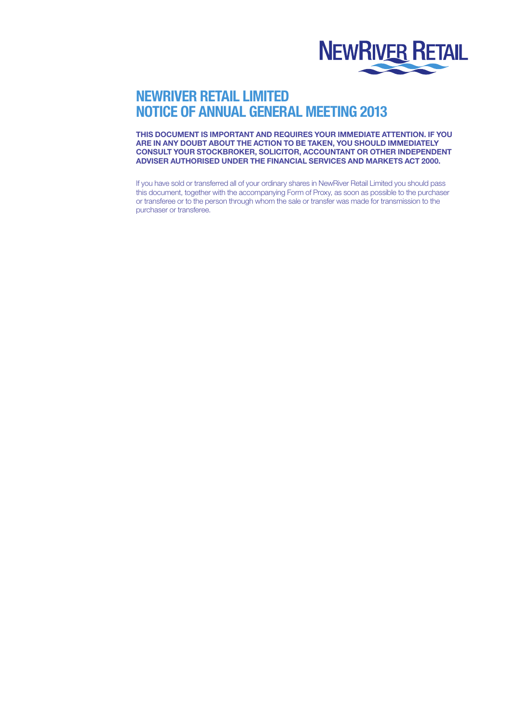

# NEWRIVER RETAIL LIMITED NOTICE OF ANNUAL GENERAL MEETING 2013

THIS DOCUMENT IS IMPORTANT AND REQUIRES YOUR IMMEDIATE ATTENTION. IF YOU ARE IN ANY DOUBT ABOUT THE ACTION TO BE TAKEN, YOU SHOULD IMMEDIATELY CONSULT YOUR STOCKBROKER, SOLICITOR, ACCOUNTANT OR OTHER INDEPENDENT ADVISER AUTHORISED UNDER THE FINANCIAL SERVICES AND MARKETS ACT 2000.

If you have sold or transferred all of your ordinary shares in NewRiver Retail Limited you should pass this document, together with the accompanying Form of Proxy, as soon as possible to the purchaser or transferee or to the person through whom the sale or transfer was made for transmission to the purchaser or transferee.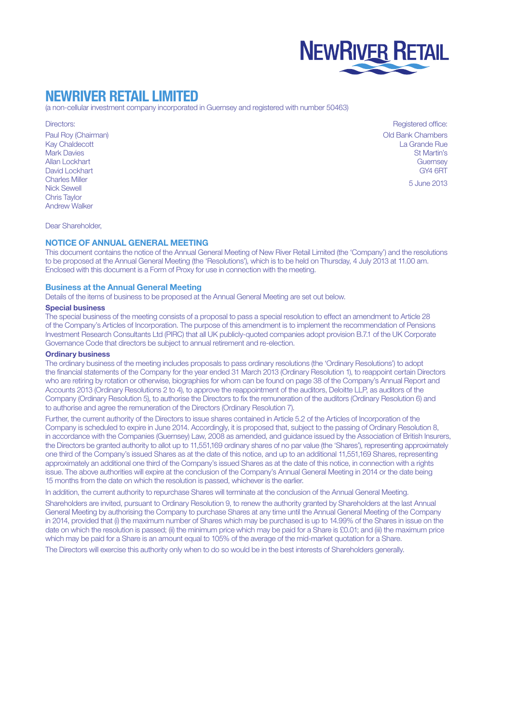

# NEWRIVER RETAIL LIMITED

(a non-cellular investment company incorporated in Guernsey and registered with number 50463)

Directors:

Paul Roy (Chairman) Kay Chaldecott Mark Davies Allan Lockhart David Lockhart Charles Miller Nick Sewell Chris Taylor Andrew Walker

Registered office: Old Bank Chambers La Grande Rue St Martin's **Guernsey** GY4 6RT

5 June 2013

Dear Shareholder,

### NOTICE OF ANNUAL GENERAL MEETING

This document contains the notice of the Annual General Meeting of New River Retail Limited (the 'Company') and the resolutions to be proposed at the Annual General Meeting (the 'Resolutions'), which is to be held on Thursday, 4 July 2013 at 11.00 am. Enclosed with this document is a Form of Proxy for use in connection with the meeting.

#### Business at the Annual General Meeting

Details of the items of business to be proposed at the Annual General Meeting are set out below.

## Special business

The special business of the meeting consists of a proposal to pass a special resolution to effect an amendment to Article 28 of the Company's Articles of Incorporation. The purpose of this amendment is to implement the recommendation of Pensions Investment Research Consultants Ltd (PIRC) that all UK publicly-quoted companies adopt provision B.7.1 of the UK Corporate Governance Code that directors be subject to annual retirement and re-election.

## Ordinary business

The ordinary business of the meeting includes proposals to pass ordinary resolutions (the 'Ordinary Resolutions') to adopt the financial statements of the Company for the year ended 31 March 2013 (Ordinary Resolution 1), to reappoint certain Directors who are retiring by rotation or otherwise, biographies for whom can be found on page 38 of the Company's Annual Report and Accounts 2013 (Ordinary Resolutions 2 to 4), to approve the reappointment of the auditors, Deloitte LLP, as auditors of the Company (Ordinary Resolution 5), to authorise the Directors to fix the remuneration of the auditors (Ordinary Resolution 6) and to authorise and agree the remuneration of the Directors (Ordinary Resolution 7).

Further, the current authority of the Directors to issue shares contained in Article 5.2 of the Articles of Incorporation of the Company is scheduled to expire in June 2014. Accordingly, it is proposed that, subject to the passing of Ordinary Resolution 8, in accordance with the Companies (Guernsey) Law, 2008 as amended, and guidance issued by the Association of British Insurers, the Directors be granted authority to allot up to 11,551,169 ordinary shares of no par value (the 'Shares'), representing approximately one third of the Company's issued Shares as at the date of this notice, and up to an additional 11,551,169 Shares, representing approximately an additional one third of the Company's issued Shares as at the date of this notice, in connection with a rights issue. The above authorities will expire at the conclusion of the Company's Annual General Meeting in 2014 or the date being 15 months from the date on which the resolution is passed, whichever is the earlier.

In addition, the current authority to repurchase Shares will terminate at the conclusion of the Annual General Meeting.

Shareholders are invited, pursuant to Ordinary Resolution 9, to renew the authority granted by Shareholders at the last Annual General Meeting by authorising the Company to purchase Shares at any time until the Annual General Meeting of the Company in 2014, provided that (i) the maximum number of Shares which may be purchased is up to 14.99% of the Shares in issue on the date on which the resolution is passed; (ii) the minimum price which may be paid for a Share is £0.01; and (iii) the maximum price which may be paid for a Share is an amount equal to 105% of the average of the mid-market quotation for a Share.

The Directors will exercise this authority only when to do so would be in the best interests of Shareholders generally.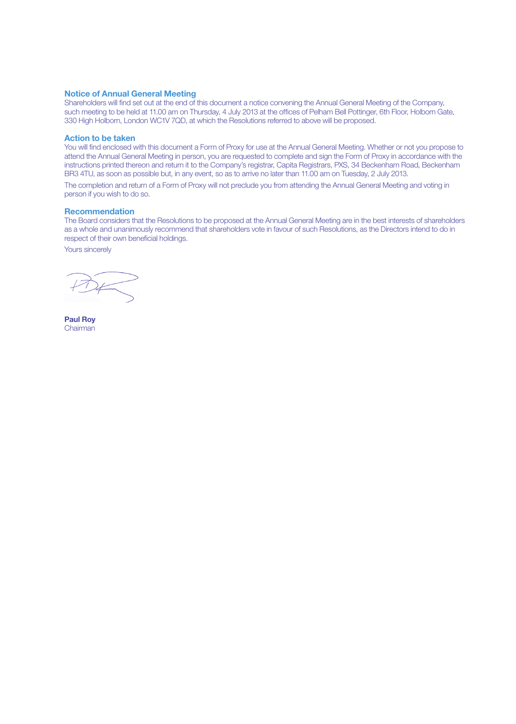### Notice of Annual General Meeting

Shareholders will find set out at the end of this document a notice convening the Annual General Meeting of the Company, such meeting to be held at 11.00 am on Thursday, 4 July 2013 at the offices of Pelham Bell Pottinger, 6th Floor, Holborn Gate, 330 High Holborn, London WC1V 7QD, at which the Resolutions referred to above will be proposed.

### Action to be taken

You will find enclosed with this document a Form of Proxy for use at the Annual General Meeting. Whether or not you propose to attend the Annual General Meeting in person, you are requested to complete and sign the Form of Proxy in accordance with the instructions printed thereon and return it to the Company's registrar, Capita Registrars, PXS, 34 Beckenham Road, Beckenham BR3 4TU, as soon as possible but, in any event, so as to arrive no later than 11.00 am on Tuesday, 2 July 2013.

The completion and return of a Form of Proxy will not preclude you from attending the Annual General Meeting and voting in person if you wish to do so.

#### **Recommendation**

The Board considers that the Resolutions to be proposed at the Annual General Meeting are in the best interests of shareholders as a whole and unanimously recommend that shareholders vote in favour of such Resolutions, as the Directors intend to do in respect of their own beneficial holdings.

Yours sincerely

Paul Roy Chairman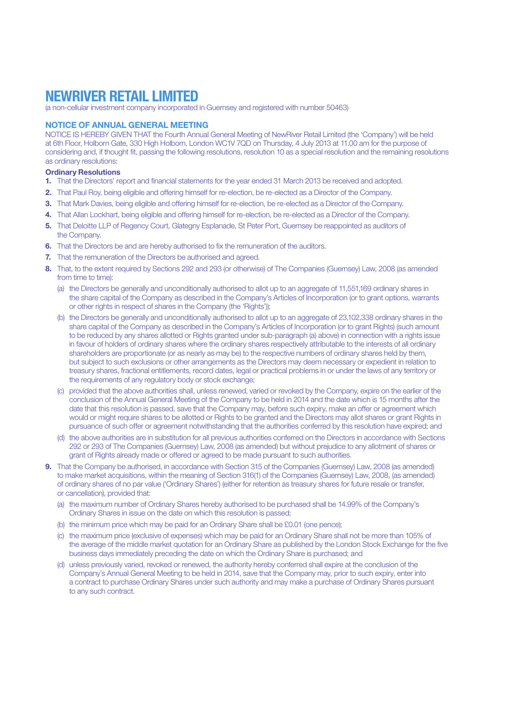# NEWRIVER RETAIL LIMITED

(a non-cellular investment company incorporated in Guernsey and registered with number 50463)

## NOTICE OF ANNUAL GENERAL MEETING

NOTICE IS HEREBY GIVEN THAT the Fourth Annual General Meeting of NewRiver Retail Limited (the 'Company') will be held at 6th Floor, Holborn Gate, 330 High Holborn, London WC1V 7QD on Thursday, 4 July 2013 at 11.00 am for the purpose of considering and, if thought fit, passing the following resolutions, resolution 10 as a special resolution and the remaining resolutions as ordinary resolutions:

### Ordinary Resolutions

- 1. That the Directors' report and financial statements for the year ended 31 March 2013 be received and adopted.
- 2. That Paul Roy, being eligible and offering himself for re-election, be re-elected as a Director of the Company.
- 3. That Mark Davies, being eligible and offering himself for re-election, be re-elected as a Director of the Company.
- 4. That Allan Lockhart, being eligible and offering himself for re-election, be re-elected as a Director of the Company.
- 5. That Deloitte LLP of Regency Court, Glategny Esplanade, St Peter Port, Guernsey be reappointed as auditors of the Company.
- **6.** That the Directors be and are hereby authorised to fix the remuneration of the auditors.
- **7.** That the remuneration of the Directors be authorised and agreed.
- 8. That, to the extent required by Sections 292 and 293 (or otherwise) of The Companies (Guernsey) Law, 2008 (as amended from time to time):
	- (a) the Directors be generally and unconditionally authorised to allot up to an aggregate of 11,551,169 ordinary shares in the share capital of the Company as described in the Company's Articles of Incorporation (or to grant options, warrants or other rights in respect of shares in the Company (the 'Rights'));
	- (b) the Directors be generally and unconditionally authorised to allot up to an aggregate of 23,102,338 ordinary shares in the share capital of the Company as described in the Company's Articles of Incorporation (or to grant Rights) (such amount to be reduced by any shares allotted or Rights granted under sub-paragraph (a) above) in connection with a rights issue in favour of holders of ordinary shares where the ordinary shares respectively attributable to the interests of all ordinary shareholders are proportionate (or as nearly as may be) to the respective numbers of ordinary shares held by them, but subject to such exclusions or other arrangements as the Directors may deem necessary or expedient in relation to treasury shares, fractional entitlements, record dates, legal or practical problems in or under the laws of any territory or the requirements of any regulatory body or stock exchange;
	- (c) provided that the above authorities shall, unless renewed, varied or revoked by the Company, expire on the earlier of the conclusion of the Annual General Meeting of the Company to be held in 2014 and the date which is 15 months after the date that this resolution is passed, save that the Company may, before such expiry, make an offer or agreement which would or might require shares to be allotted or Rights to be granted and the Directors may allot shares or grant Rights in pursuance of such offer or agreement notwithstanding that the authorities conferred by this resolution have expired; and
	- (d) the above authorities are in substitution for all previous authorities conferred on the Directors in accordance with Sections 292 or 293 of The Companies (Guernsey) Law, 2008 (as amended) but without prejudice to any allotment of shares or grant of Rights already made or offered or agreed to be made pursuant to such authorities.
- 9. That the Company be authorised, in accordance with Section 315 of the Companies (Guernsey) Law, 2008 (as amended) to make market acquisitions, within the meaning of Section 316(1) of the Companies (Guernsey) Law, 2008, (as amended) of ordinary shares of no par value ('Ordinary Shares') (either for retention as treasury shares for future resale or transfer, or cancellation), provided that:
	- (a) the maximum number of Ordinary Shares hereby authorised to be purchased shall be 14.99% of the Company's Ordinary Shares in issue on the date on which this resolution is passed;
	- (b) the minimum price which may be paid for an Ordinary Share shall be £0.01 (one pence);
	- (c) the maximum price (exclusive of expenses) which may be paid for an Ordinary Share shall not be more than 105% of the average of the middle market quotation for an Ordinary Share as published by the London Stock Exchange for the five business days immediately preceding the date on which the Ordinary Share is purchased; and
	- (d) unless previously varied, revoked or renewed, the authority hereby conferred shall expire at the conclusion of the Company's Annual General Meeting to be held in 2014, save that the Company may, prior to such expiry, enter into a contract to purchase Ordinary Shares under such authority and may make a purchase of Ordinary Shares pursuant to any such contract.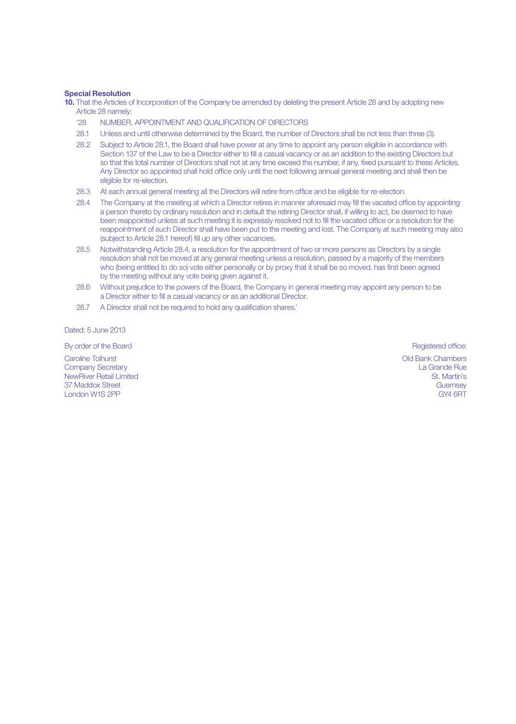#### Special Resolution

10. That the Articles of Incorporation of the Company be amended by deleting the present Article 28 and by adopting new Article 28 namely:

- '28 NUMBER, APPOINTMENT AND QUALIFICATION OF DIRECTORS
- 28.1 Unless and until otherwise determined by the Board, the number of Directors shall be not less than three (3).
- 28.2 Subject to Article 28.1, the Board shall have power at any time to appoint any person eligible in accordance with Section 137 of the Law to be a Director either to fill a casual vacancy or as an addition to the existing Directors but so that the total number of Directors shall not at any time exceed the number, if any, fixed pursuant to these Articles. Any Director so appointed shall hold office only until the next following annual general meeting and shall then be eligible for re-election.
- 28.3 At each annual general meeting all the Directors will retire from office and be eligible for re-election.
- 28.4 The Company at the meeting at which a Director retires in manner aforesaid may fill the vacated office by appointing a person thereto by ordinary resolution and in default the retiring Director shall, if willing to act, be deemed to have been reappointed unless at such meeting it is expressly resolved not to fill the vacated office or a resolution for the reappointment of such Director shall have been put to the meeting and lost. The Company at such meeting may also (subject to Article 28.1 hereof) fill up any other vacancies.
- 28.5 Notwithstanding Article 28.4, a resolution for the appointment of two or more persons as Directors by a single resolution shall not be moved at any general meeting unless a resolution, passed by a majority of the members who (being entitled to do so) vote either personally or by proxy that it shall be so moved, has first been agreed by the meeting without any vote being given against it.
- 28.6 Without prejudice to the powers of the Board, the Company in general meeting may appoint any person to be a Director either to fill a casual vacancy or as an additional Director.
- 28.7 A Director shall not be required to hold any qualification shares.'

Dated: 5, June 2013

By order of the Board Registered office: **Board** Registered office:

Caroline Tolhurst Company Secretary NewRiver Retail Limited 37 Maddox Street London W1S 2PP

Old Bank Chambers La Grande Rue St. Martin's **Guernsey** GY4 6RT